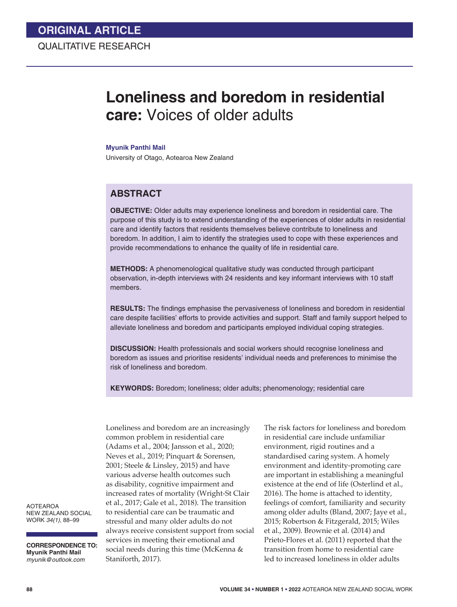# **Loneliness and boredom in residential care:** Voices of older adults

#### **Myunik Panthi Mail**

University of Otago, Aotearoa New Zealand

## **ABSTRACT**

**OBJECTIVE:** Older adults may experience loneliness and boredom in residential care. The purpose of this study is to extend understanding of the experiences of older adults in residential care and identify factors that residents themselves believe contribute to loneliness and boredom. In addition, I aim to identify the strategies used to cope with these experiences and provide recommendations to enhance the quality of life in residential care.

**METHODS:** A phenomenological qualitative study was conducted through participant observation, in-depth interviews with 24 residents and key informant interviews with 10 staff members.

**RESULTS:** The findings emphasise the pervasiveness of loneliness and boredom in residential care despite facilities' efforts to provide activities and support. Staff and family support helped to alleviate loneliness and boredom and participants employed individual coping strategies.

**DISCUSSION:** Health professionals and social workers should recognise loneliness and boredom as issues and prioritise residents' individual needs and preferences to minimise the risk of loneliness and boredom.

**KEYWORDS:** Boredom; loneliness; older adults; phenomenology; residential care

Loneliness and boredom are an increasingly common problem in residential care (Adams et al., 2004; Jansson et al., 2020; Neves et al., 2019; Pinquart & Sorensen, 2001; Steele & Linsley, 2015) and have various adverse health outcomes such as disability, cognitive impairment and increased rates of mortality (Wright-St Clair et al., 2017; Gale et al., 2018). The transition to residential care can be traumatic and stressful and many older adults do not always receive consistent support from social services in meeting their emotional and social needs during this time (McKenna & Staniforth, 2017).

The risk factors for loneliness and boredom in residential care include unfamiliar environment, rigid routines and a standardised caring system. A homely environment and identity-promoting care are important in establishing a meaningful existence at the end of life (Osterlind et al., 2016). The home is attached to identity, feelings of comfort, familiarity and security among older adults (Bland, 2007; Jaye et al., 2015; Robertson & Fitzgerald, 2015; Wiles et al., 2009). Brownie et al. (2014) and Prieto-Flores et al. (2011) reported that the transition from home to residential care led to increased loneliness in older adults

AOTEAROA NEW ZEALAND SOCIAL WORK *34(1)*, 88–99

**CORRESPONDENCE TO: Myunik Panthi Mail** *myunik@outlook.com*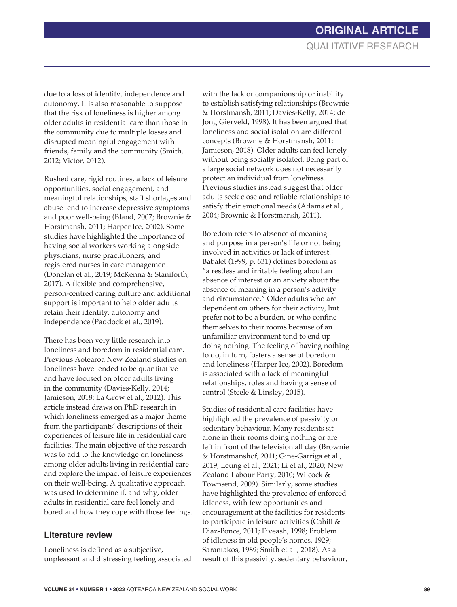due to a loss of identity, independence and autonomy. It is also reasonable to suppose that the risk of loneliness is higher among older adults in residential care than those in the community due to multiple losses and disrupted meaningful engagement with friends, family and the community (Smith, 2012; Victor, 2012).

Rushed care, rigid routines, a lack of leisure opportunities, social engagement, and meaningful relationships, staff shortages and abuse tend to increase depressive symptoms and poor well-being (Bland, 2007; Brownie & Horstmansh, 2011; Harper Ice, 2002). Some studies have highlighted the importance of having social workers working alongside physicians, nurse practitioners, and registered nurses in care management (Donelan et al., 2019; McKenna & Staniforth, 2017). A flexible and comprehensive, person-centred caring culture and additional support is important to help older adults retain their identity, autonomy and independence (Paddock et al., 2019).

There has been very little research into loneliness and boredom in residential care. Previous Aotearoa New Zealand studies on loneliness have tended to be quantitative and have focused on older adults living in the community (Davies-Kelly, 2014; Jamieson, 2018; La Grow et al., 2012). This article instead draws on PhD research in which loneliness emerged as a major theme from the participants' descriptions of their experiences of leisure life in residential care facilities. The main objective of the research was to add to the knowledge on loneliness among older adults living in residential care and explore the impact of leisure experiences on their well-being. A qualitative approach was used to determine if, and why, older adults in residential care feel lonely and bored and how they cope with those feelings.

#### **Literature review**

Loneliness is defined as a subjective, unpleasant and distressing feeling associated

with the lack or companionship or inability to establish satisfying relationships (Brownie & Horstmansh, 2011; Davies-Kelly, 2014; de Jong Gierveld, 1998). It has been argued that loneliness and social isolation are different concepts (Brownie & Horstmansh, 2011; Jamieson, 2018). Older adults can feel lonely without being socially isolated. Being part of a large social network does not necessarily protect an individual from loneliness. Previous studies instead suggest that older adults seek close and reliable relationships to satisfy their emotional needs (Adams et al., 2004; Brownie & Horstmansh, 2011).

Boredom refers to absence of meaning and purpose in a person's life or not being involved in activities or lack of interest. Babalet (1999, p. 631) defines boredom as "a restless and irritable feeling about an absence of interest or an anxiety about the absence of meaning in a person's activity and circumstance." Older adults who are dependent on others for their activity, but prefer not to be a burden, or who confine themselves to their rooms because of an unfamiliar environment tend to end up doing nothing. The feeling of having nothing to do, in turn, fosters a sense of boredom and loneliness (Harper Ice, 2002). Boredom is associated with a lack of meaningful relationships, roles and having a sense of control (Steele & Linsley, 2015).

Studies of residential care facilities have highlighted the prevalence of passivity or sedentary behaviour. Many residents sit alone in their rooms doing nothing or are left in front of the television all day (Brownie & Horstmanshof, 2011; Gine-Garriga et al., 2019; Leung et al., 2021; Li et al., 2020; New Zealand Labour Party, 2010; Wilcock & Townsend, 2009). Similarly, some studies have highlighted the prevalence of enforced idleness, with few opportunities and encouragement at the facilities for residents to participate in leisure activities (Cahill & Diaz-Ponce, 2011; Fiveash, 1998; Problem of idleness in old people's homes, 1929; Sarantakos, 1989; Smith et al., 2018). As a result of this passivity, sedentary behaviour,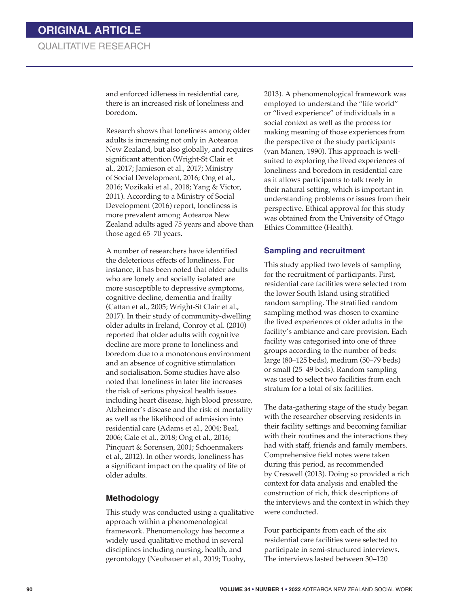and enforced idleness in residential care, there is an increased risk of loneliness and boredom.

Research shows that loneliness among older adults is increasing not only in Aotearoa New Zealand, but also globally, and requires significant attention (Wright-St Clair et al., 2017; Jamieson et al., 2017; Ministry of Social Development, 2016; Ong et al., 2016; Vozikaki et al., 2018; Yang & Victor, 2011). According to a Ministry of Social Development (2016) report, loneliness is more prevalent among Aotearoa New Zealand adults aged 75 years and above than those aged 65–70 years.

A number of researchers have identified the deleterious effects of loneliness. For instance, it has been noted that older adults who are lonely and socially isolated are more susceptible to depressive symptoms, cognitive decline, dementia and frailty (Cattan et al., 2005; Wright-St Clair et al., 2017). In their study of community-dwelling older adults in Ireland, Conroy et al. (2010) reported that older adults with cognitive decline are more prone to loneliness and boredom due to a monotonous environment and an absence of cognitive stimulation and socialisation. Some studies have also noted that loneliness in later life increases the risk of serious physical health issues including heart disease, high blood pressure, Alzheimer's disease and the risk of mortality as well as the likelihood of admission into residential care (Adams et al., 2004; Beal, 2006; Gale et al., 2018; Ong et al., 2016; Pinquart & Sorensen, 2001; Schoenmakers et al., 2012). In other words, loneliness has a significant impact on the quality of life of older adults.

#### **Methodology**

This study was conducted using a qualitative approach within a phenomenological framework. Phenomenology has become a widely used qualitative method in several disciplines including nursing, health, and gerontology (Neubauer et al., 2019; Tuohy,

2013). A phenomenological framework was employed to understand the "life world" or "lived experience" of individuals in a social context as well as the process for making meaning of those experiences from the perspective of the study participants (van Manen, 1990). This approach is wellsuited to exploring the lived experiences of loneliness and boredom in residential care as it allows participants to talk freely in their natural setting, which is important in understanding problems or issues from their perspective. Ethical approval for this study was obtained from the University of Otago Ethics Committee (Health).

#### **Sampling and recruitment**

This study applied two levels of sampling for the recruitment of participants. First, residential care facilities were selected from the lower South Island using stratified random sampling. The stratified random sampling method was chosen to examine the lived experiences of older adults in the facility's ambiance and care provision. Each facility was categorised into one of three groups according to the number of beds: large (80–125 beds), medium (50–79 beds) or small (25–49 beds). Random sampling was used to select two facilities from each stratum for a total of six facilities.

The data-gathering stage of the study began with the researcher observing residents in their facility settings and becoming familiar with their routines and the interactions they had with staff, friends and family members. Comprehensive field notes were taken during this period, as recommended by Creswell (2013). Doing so provided a rich context for data analysis and enabled the construction of rich, thick descriptions of the interviews and the context in which they were conducted.

Four participants from each of the six residential care facilities were selected to participate in semi-structured interviews. The interviews lasted between 30–120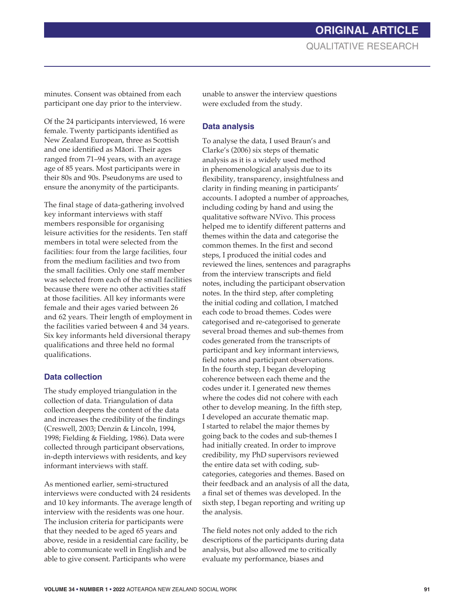minutes. Consent was obtained from each participant one day prior to the interview.

Of the 24 participants interviewed, 16 were female. Twenty participants identified as New Zealand European, three as Scottish and one identified as Māori. Their ages ranged from 71–94 years, with an average age of 85 years. Most participants were in their 80s and 90s. Pseudonyms are used to ensure the anonymity of the participants.

The final stage of data-gathering involved key informant interviews with staff members responsible for organising leisure activities for the residents. Ten staff members in total were selected from the facilities: four from the large facilities, four from the medium facilities and two from the small facilities. Only one staff member was selected from each of the small facilities because there were no other activities staff at those facilities. All key informants were female and their ages varied between 26 and 62 years. Their length of employment in the facilities varied between 4 and 34 years. Six key informants held diversional therapy qualifications and three held no formal qualifications.

#### **Data collection**

The study employed triangulation in the collection of data. Triangulation of data collection deepens the content of the data and increases the credibility of the findings (Creswell, 2003; Denzin & Lincoln, 1994, 1998; Fielding & Fielding, 1986). Data were collected through participant observations, in-depth interviews with residents, and key informant interviews with staff.

As mentioned earlier, semi-structured interviews were conducted with 24 residents and 10 key informants. The average length of interview with the residents was one hour. The inclusion criteria for participants were that they needed to be aged 65 years and above, reside in a residential care facility, be able to communicate well in English and be able to give consent. Participants who were

unable to answer the interview questions were excluded from the study.

#### **Data analysis**

To analyse the data, I used Braun's and Clarke's (2006) six steps of thematic analysis as it is a widely used method in phenomenological analysis due to its flexibility, transparency, insightfulness and clarity in finding meaning in participants' accounts. I adopted a number of approaches, including coding by hand and using the qualitative software NVivo. This process helped me to identify different patterns and themes within the data and categorise the common themes. In the first and second steps, I produced the initial codes and reviewed the lines, sentences and paragraphs from the interview transcripts and field notes, including the participant observation notes. In the third step, after completing the initial coding and collation, I matched each code to broad themes. Codes were categorised and re-categorised to generate several broad themes and sub-themes from codes generated from the transcripts of participant and key informant interviews, field notes and participant observations. In the fourth step, I began developing coherence between each theme and the codes under it. I generated new themes where the codes did not cohere with each other to develop meaning. In the fifth step, I developed an accurate thematic map. I started to relabel the major themes by going back to the codes and sub-themes I had initially created. In order to improve credibility, my PhD supervisors reviewed the entire data set with coding, subcategories, categories and themes. Based on their feedback and an analysis of all the data, a final set of themes was developed. In the sixth step, I began reporting and writing up the analysis.

The field notes not only added to the rich descriptions of the participants during data analysis, but also allowed me to critically evaluate my performance, biases and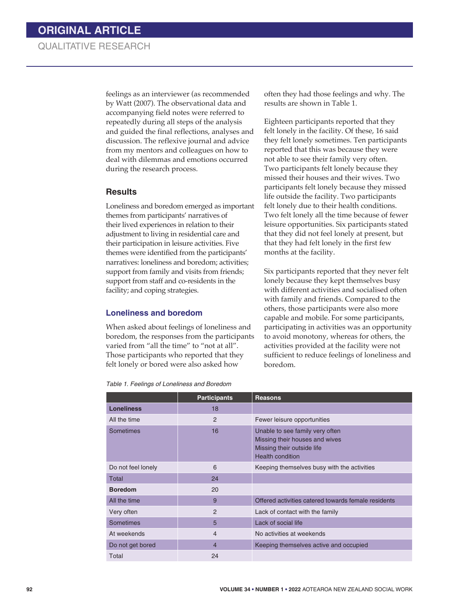feelings as an interviewer (as recommended by Watt (2007). The observational data and accompanying field notes were referred to repeatedly during all steps of the analysis and guided the final reflections, analyses and discussion. The reflexive journal and advice from my mentors and colleagues on how to deal with dilemmas and emotions occurred during the research process.

#### **Results**

Loneliness and boredom emerged as important themes from participants' narratives of their lived experiences in relation to their adjustment to living in residential care and their participation in leisure activities. Five themes were identified from the participants' narratives: loneliness and boredom; activities; support from family and visits from friends; support from staff and co-residents in the facility; and coping strategies.

#### **Loneliness and boredom**

When asked about feelings of loneliness and boredom, the responses from the participants varied from "all the time" to "not at all". Those participants who reported that they felt lonely or bored were also asked how

*Table 1. Feelings of Loneliness and Boredom*

often they had those feelings and why. The results are shown in Table 1.

Eighteen participants reported that they felt lonely in the facility. Of these, 16 said they felt lonely sometimes. Ten participants reported that this was because they were not able to see their family very often. Two participants felt lonely because they missed their houses and their wives. Two participants felt lonely because they missed life outside the facility. Two participants felt lonely due to their health conditions. Two felt lonely all the time because of fewer leisure opportunities. Six participants stated that they did not feel lonely at present, but that they had felt lonely in the first few months at the facility.

Six participants reported that they never felt lonely because they kept themselves busy with different activities and socialised often with family and friends. Compared to the others, those participants were also more capable and mobile. For some participants, participating in activities was an opportunity to avoid monotony, whereas for others, the activities provided at the facility were not sufficient to reduce feelings of loneliness and boredom.

|                    | <b>Participants</b> | <b>Reasons</b>                                                                                                             |
|--------------------|---------------------|----------------------------------------------------------------------------------------------------------------------------|
| <b>Loneliness</b>  | 18                  |                                                                                                                            |
| All the time       | $\overline{2}$      | Fewer leisure opportunities                                                                                                |
| Sometimes          | 16                  | Unable to see family very often<br>Missing their houses and wives<br>Missing their outside life<br><b>Health condition</b> |
| Do not feel lonely | 6                   | Keeping themselves busy with the activities                                                                                |
| Total              | 24                  |                                                                                                                            |
| <b>Boredom</b>     | 20                  |                                                                                                                            |
| All the time       | 9                   | Offered activities catered towards female residents                                                                        |
| Very often         | $\overline{2}$      | Lack of contact with the family                                                                                            |
| <b>Sometimes</b>   | 5                   | Lack of social life                                                                                                        |
| At weekends        | 4                   | No activities at weekends                                                                                                  |
| Do not get bored   | 4                   | Keeping themselves active and occupied                                                                                     |
| Total              | 24                  |                                                                                                                            |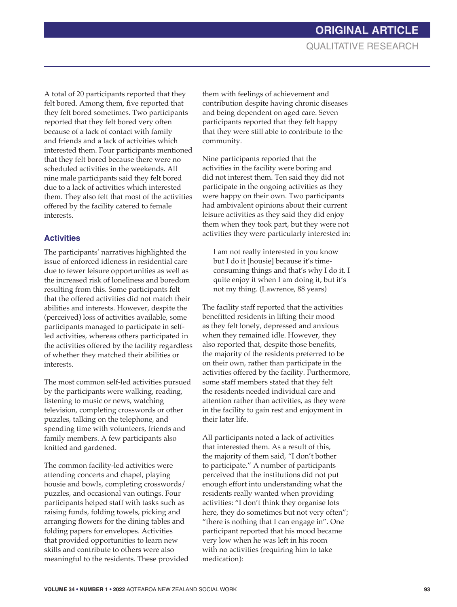A total of 20 participants reported that they felt bored. Among them, five reported that they felt bored sometimes. Two participants reported that they felt bored very often because of a lack of contact with family and friends and a lack of activities which interested them. Four participants mentioned that they felt bored because there were no scheduled activities in the weekends. All nine male participants said they felt bored due to a lack of activities which interested them. They also felt that most of the activities offered by the facility catered to female interests.

## **Activities**

The participants' narratives highlighted the issue of enforced idleness in residential care due to fewer leisure opportunities as well as the increased risk of loneliness and boredom resulting from this. Some participants felt that the offered activities did not match their abilities and interests. However, despite the (perceived) loss of activities available, some participants managed to participate in selfled activities, whereas others participated in the activities offered by the facility regardless of whether they matched their abilities or interests.

The most common self-led activities pursued by the participants were walking, reading, listening to music or news, watching television, completing crosswords or other puzzles, talking on the telephone, and spending time with volunteers, friends and family members. A few participants also knitted and gardened.

The common facility-led activities were attending concerts and chapel, playing housie and bowls, completing crosswords/ puzzles, and occasional van outings. Four participants helped staff with tasks such as raising funds, folding towels, picking and arranging flowers for the dining tables and folding papers for envelopes. Activities that provided opportunities to learn new skills and contribute to others were also meaningful to the residents. These provided them with feelings of achievement and contribution despite having chronic diseases and being dependent on aged care. Seven participants reported that they felt happy that they were still able to contribute to the community.

Nine participants reported that the activities in the facility were boring and did not interest them. Ten said they did not participate in the ongoing activities as they were happy on their own. Two participants had ambivalent opinions about their current leisure activities as they said they did enjoy them when they took part, but they were not activities they were particularly interested in:

I am not really interested in you know but I do it [housie] because it's timeconsuming things and that's why I do it. I quite enjoy it when I am doing it, but it's not my thing. (Lawrence, 88 years)

The facility staff reported that the activities benefitted residents in lifting their mood as they felt lonely, depressed and anxious when they remained idle. However, they also reported that, despite those benefits, the majority of the residents preferred to be on their own, rather than participate in the activities offered by the facility. Furthermore, some staff members stated that they felt the residents needed individual care and attention rather than activities, as they were in the facility to gain rest and enjoyment in their later life.

All participants noted a lack of activities that interested them. As a result of this, the majority of them said, "I don't bother to participate." A number of participants perceived that the institutions did not put enough effort into understanding what the residents really wanted when providing activities: "I don't think they organise lots here, they do sometimes but not very often"; "there is nothing that I can engage in". One participant reported that his mood became very low when he was left in his room with no activities (requiring him to take medication):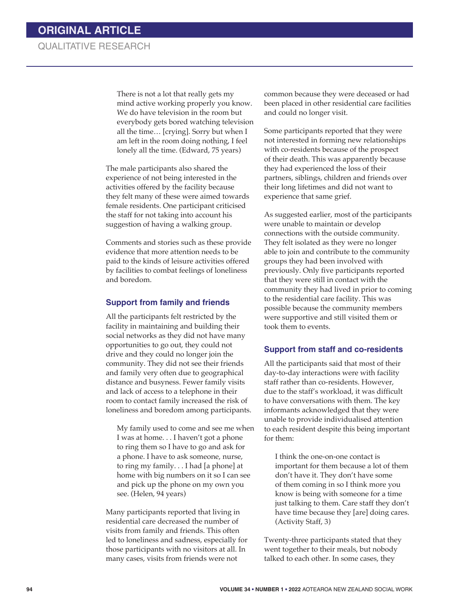## QUALITATIVE RESEARCH

There is not a lot that really gets my mind active working properly you know. We do have television in the room but everybody gets bored watching television all the time… [crying]. Sorry but when I am left in the room doing nothing, I feel lonely all the time. (Edward, 75 years)

The male participants also shared the experience of not being interested in the activities offered by the facility because they felt many of these were aimed towards female residents. One participant criticised the staff for not taking into account his suggestion of having a walking group.

Comments and stories such as these provide evidence that more attention needs to be paid to the kinds of leisure activities offered by facilities to combat feelings of loneliness and boredom.

#### **Support from family and friends**

All the participants felt restricted by the facility in maintaining and building their social networks as they did not have many opportunities to go out, they could not drive and they could no longer join the community. They did not see their friends and family very often due to geographical distance and busyness. Fewer family visits and lack of access to a telephone in their room to contact family increased the risk of loneliness and boredom among participants.

My family used to come and see me when I was at home. . . I haven't got a phone to ring them so I have to go and ask for a phone. I have to ask someone, nurse, to ring my family. . . I had [a phone] at home with big numbers on it so I can see and pick up the phone on my own you see. (Helen, 94 years)

Many participants reported that living in residential care decreased the number of visits from family and friends. This often led to loneliness and sadness, especially for those participants with no visitors at all. In many cases, visits from friends were not

common because they were deceased or had been placed in other residential care facilities and could no longer visit.

Some participants reported that they were not interested in forming new relationships with co-residents because of the prospect of their death. This was apparently because they had experienced the loss of their partners, siblings, children and friends over their long lifetimes and did not want to experience that same grief.

As suggested earlier, most of the participants were unable to maintain or develop connections with the outside community. They felt isolated as they were no longer able to join and contribute to the community groups they had been involved with previously. Only five participants reported that they were still in contact with the community they had lived in prior to coming to the residential care facility. This was possible because the community members were supportive and still visited them or took them to events.

#### **Support from staff and co-residents**

All the participants said that most of their day-to-day interactions were with facility staff rather than co-residents. However, due to the staff's workload, it was difficult to have conversations with them. The key informants acknowledged that they were unable to provide individualised attention to each resident despite this being important for them:

I think the one-on-one contact is important for them because a lot of them don't have it. They don't have some of them coming in so I think more you know is being with someone for a time just talking to them. Care staff they don't have time because they [are] doing cares. (Activity Staff, 3)

Twenty-three participants stated that they went together to their meals, but nobody talked to each other. In some cases, they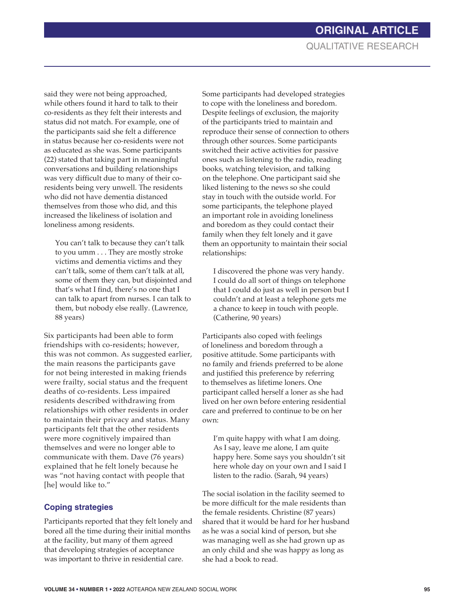said they were not being approached, while others found it hard to talk to their co-residents as they felt their interests and status did not match. For example, one of the participants said she felt a difference in status because her co-residents were not as educated as she was. Some participants (22) stated that taking part in meaningful conversations and building relationships was very difficult due to many of their coresidents being very unwell. The residents who did not have dementia distanced themselves from those who did, and this increased the likeliness of isolation and loneliness among residents.

You can't talk to because they can't talk to you umm . . . They are mostly stroke victims and dementia victims and they can't talk, some of them can't talk at all, some of them they can, but disjointed and that's what I find, there's no one that I can talk to apart from nurses. I can talk to them, but nobody else really. (Lawrence, 88 years)

Six participants had been able to form friendships with co-residents; however, this was not common. As suggested earlier, the main reasons the participants gave for not being interested in making friends were frailty, social status and the frequent deaths of co-residents. Less impaired residents described withdrawing from relationships with other residents in order to maintain their privacy and status. Many participants felt that the other residents were more cognitively impaired than themselves and were no longer able to communicate with them. Dave (76 years) explained that he felt lonely because he was "not having contact with people that [he] would like to."

## **Coping strategies**

Participants reported that they felt lonely and bored all the time during their initial months at the facility, but many of them agreed that developing strategies of acceptance was important to thrive in residential care.

Some participants had developed strategies to cope with the loneliness and boredom. Despite feelings of exclusion, the majority of the participants tried to maintain and reproduce their sense of connection to others through other sources. Some participants switched their active activities for passive ones such as listening to the radio, reading books, watching television, and talking on the telephone. One participant said she liked listening to the news so she could stay in touch with the outside world. For some participants, the telephone played an important role in avoiding loneliness and boredom as they could contact their family when they felt lonely and it gave them an opportunity to maintain their social relationships:

I discovered the phone was very handy. I could do all sort of things on telephone that I could do just as well in person but I couldn't and at least a telephone gets me a chance to keep in touch with people. (Catherine, 90 years)

Participants also coped with feelings of loneliness and boredom through a positive attitude. Some participants with no family and friends preferred to be alone and justified this preference by referring to themselves as lifetime loners. One participant called herself a loner as she had lived on her own before entering residential care and preferred to continue to be on her own:

I'm quite happy with what I am doing. As I say, leave me alone, I am quite happy here. Some says you shouldn't sit here whole day on your own and I said I listen to the radio. (Sarah, 94 years)

The social isolation in the facility seemed to be more difficult for the male residents than the female residents. Christine (87 years) shared that it would be hard for her husband as he was a social kind of person, but she was managing well as she had grown up as an only child and she was happy as long as she had a book to read.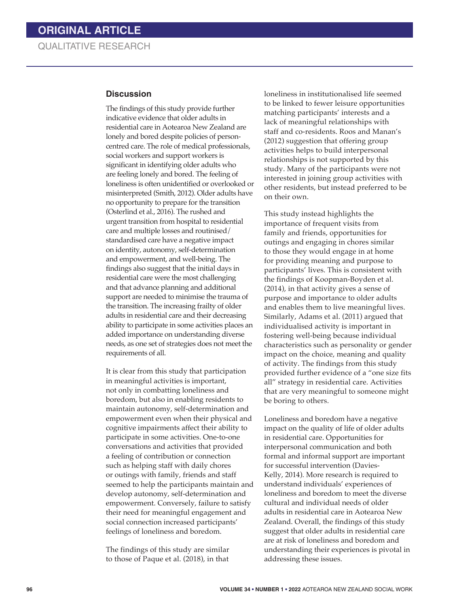#### **Discussion**

The findings of this study provide further indicative evidence that older adults in residential care in Aotearoa New Zealand are lonely and bored despite policies of personcentred care. The role of medical professionals, social workers and support workers is significant in identifying older adults who are feeling lonely and bored. The feeling of loneliness is often unidentified or overlooked or misinterpreted (Smith, 2012). Older adults have no opportunity to prepare for the transition (Osterlind et al., 2016). The rushed and urgent transition from hospital to residential care and multiple losses and routinised/ standardised care have a negative impact on identity, autonomy, self-determination and empowerment, and well-being. The findings also suggest that the initial days in residential care were the most challenging and that advance planning and additional support are needed to minimise the trauma of the transition. The increasing frailty of older adults in residential care and their decreasing ability to participate in some activities places an added importance on understanding diverse needs, as one set of strategies does not meet the requirements of all.

It is clear from this study that participation in meaningful activities is important, not only in combatting loneliness and boredom, but also in enabling residents to maintain autonomy, self-determination and empowerment even when their physical and cognitive impairments affect their ability to participate in some activities. One-to-one conversations and activities that provided a feeling of contribution or connection such as helping staff with daily chores or outings with family, friends and staff seemed to help the participants maintain and develop autonomy, self-determination and empowerment. Conversely, failure to satisfy their need for meaningful engagement and social connection increased participants' feelings of loneliness and boredom.

The findings of this study are similar to those of Paque et al. (2018), in that loneliness in institutionalised life seemed to be linked to fewer leisure opportunities matching participants' interests and a lack of meaningful relationships with staff and co-residents. Roos and Manan's (2012) suggestion that offering group activities helps to build interpersonal relationships is not supported by this study. Many of the participants were not interested in joining group activities with other residents, but instead preferred to be on their own.

This study instead highlights the importance of frequent visits from family and friends, opportunities for outings and engaging in chores similar to those they would engage in at home for providing meaning and purpose to participants' lives. This is consistent with the findings of Koopman-Boyden et al. (2014), in that activity gives a sense of purpose and importance to older adults and enables them to live meaningful lives. Similarly, Adams et al. (2011) argued that individualised activity is important in fostering well-being because individual characteristics such as personality or gender impact on the choice, meaning and quality of activity. The findings from this study provided further evidence of a "one size fits all" strategy in residential care. Activities that are very meaningful to someone might be boring to others.

Loneliness and boredom have a negative impact on the quality of life of older adults in residential care. Opportunities for interpersonal communication and both formal and informal support are important for successful intervention (Davies-Kelly, 2014). More research is required to understand individuals' experiences of loneliness and boredom to meet the diverse cultural and individual needs of older adults in residential care in Aotearoa New Zealand. Overall, the findings of this study suggest that older adults in residential care are at risk of loneliness and boredom and understanding their experiences is pivotal in addressing these issues.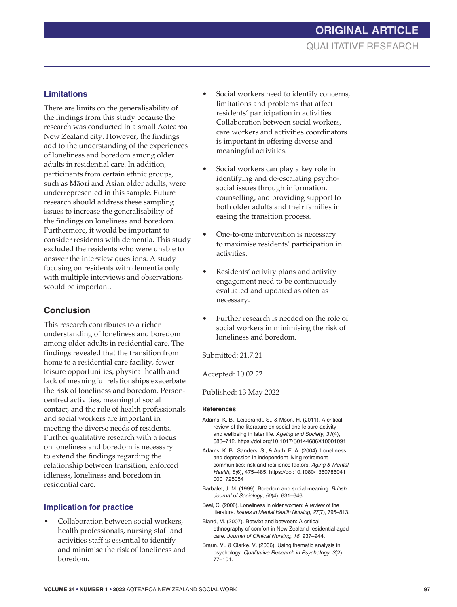## **Limitations**

There are limits on the generalisability of the findings from this study because the research was conducted in a small Aotearoa New Zealand city. However, the findings add to the understanding of the experiences of loneliness and boredom among older adults in residential care. In addition, participants from certain ethnic groups, such as Māori and Asian older adults, were underrepresented in this sample. Future research should address these sampling issues to increase the generalisability of the findings on loneliness and boredom. Furthermore, it would be important to consider residents with dementia. This study excluded the residents who were unable to answer the interview questions. A study focusing on residents with dementia only with multiple interviews and observations would be important.

## **Conclusion**

This research contributes to a richer understanding of loneliness and boredom among older adults in residential care. The findings revealed that the transition from home to a residential care facility, fewer leisure opportunities, physical health and lack of meaningful relationships exacerbate the risk of loneliness and boredom. Personcentred activities, meaningful social contact, and the role of health professionals and social workers are important in meeting the diverse needs of residents. Further qualitative research with a focus on loneliness and boredom is necessary to extend the findings regarding the relationship between transition, enforced idleness, loneliness and boredom in residential care.

## **Implication for practice**

• Collaboration between social workers, health professionals, nursing staff and activities staff is essential to identify and minimise the risk of loneliness and boredom.

- Social workers need to identify concerns, limitations and problems that affect residents' participation in activities. Collaboration between social workers, care workers and activities coordinators is important in offering diverse and meaningful activities.
- Social workers can play a key role in identifying and de-escalating psychosocial issues through information, counselling, and providing support to both older adults and their families in easing the transition process.
- One-to-one intervention is necessary to maximise residents' participation in activities.
- Residents' activity plans and activity engagement need to be continuously evaluated and updated as often as necessary.
- Further research is needed on the role of social workers in minimising the risk of loneliness and boredom.

Submitted: 21.7.21

Accepted: 10.02.22

Published: 13 May 2022

## **References**

- Adams, K. B., Leibbrandt, S., & Moon, H. (2011). A critical review of the literature on social and leisure activity and wellbeing in later life. *Ageing and Society*, *31*(4), 683–712. https://doi.org/10.1017/S0144686X10001091
- Adams, K. B., Sanders, S., & Auth, E. A. (2004). Loneliness and depression in independent living retirement communities: risk and resilience factors. *Aging & Mental Health*, *8(*6), 475–485. https://doi:10.1080/1360786041 0001725054
- Barbalet, J. M. (1999). Boredom and social meaning. *British Journal of Sociology*, *50*(4), 631–646.
- Beal, C. (2006). Loneliness in older women: A review of the literature. *Issues in Mental Health Nursing*, *27*(7), 795–813.
- Bland, M. (2007). Betwixt and between: A critical ethnography of comfort in New Zealand residential aged care. *Journal of Clinical Nursing*, *16*, 937–944.
- Braun, V., & Clarke, V. (2006). Using thematic analysis in psychology. *Qualitative Research in Psychology*, *3*(2), 77–101.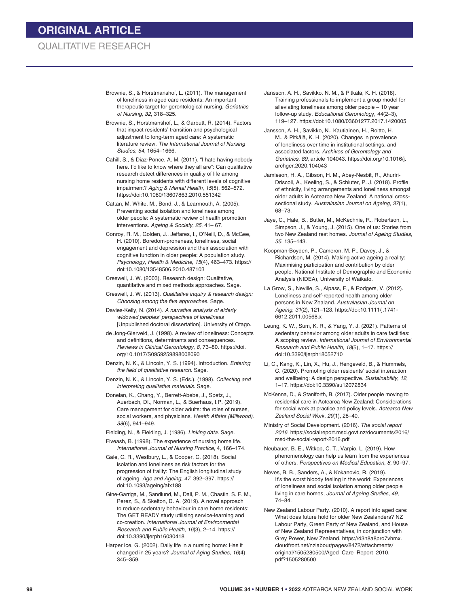## QUALITATIVE RESEARCH

- Brownie, S., & Horstmanshof, L. (2011). The management of loneliness in aged care residents: An important therapeutic target for gerontological nursing. *Geriatrics of Nursing*, *32*, 318–325.
- Brownie, S., Horstmanshof, L., & Garbutt, R. (2014). Factors that impact residents' transition and psychological adjustment to long-term aged care: A systematic literature review. *The International Journal of Nursing Studies*, *54*, 1654–1666.
- Cahill, S., & Diaz-Ponce, A. M. (2011). "I hate having nobody here. I'd like to know where they all are": Can qualitative research detect differences in quality of life among nursing home residents with different levels of cognitive impairment? *Aging & Mental Health*, *15*(5), 562–572. https://doi:10.1080/13607863.2010.551342
- Cattan, M. White, M., Bond, J., & Learmouth, A. (2005). Preventing social isolation and loneliness among older people: A systematic review of health promotion interventions. *Ageing & Society*, *25*, 41– 67.
- Conroy, R. M., Golden, J., Jeffares, I., O'Neill, D., & McGee, H. (2010). Boredom-proneness, loneliness, social engagement and depression and their association with cognitive function in older people: A population study. *Psychology, Health & Medicine*, *15*(4), 463–473. https:// doi:10.1080/13548506.2010.487103
- Creswell, J. W. (2003). Research design: Qualitative, quantitative and mixed methods approaches. Sage.
- Creswell, J. W. (2013). *Qualitative inquiry & research design: Choosing among the five approaches*. Sage.
- Davies-Kelly, N. (2014). *A narrative analysis of elderly widowed peoples' perspectives of loneliness* [Unpublished doctoral dissertation]. University of Otago.
- de Jong-Gierveld, J. (1998). A review of loneliness: Concepts and definitions, determinants and consequences. *Reviews in Clinical Gerontology*, *8*, 73–80. https://doi. org/10.1017/S0959259898008090
- Denzin, N. K., & Lincoln, Y. S. (1994). Introduction. *Entering the field of qualitative research*. Sage.
- Denzin, N. K., & Lincoln, Y. S. (Eds.). (1998). *Collecting and interpreting qualitative materials*. Sage.
- Donelan, K., Chang, Y., Berrett-Abebe, J., Spetz, J., Auerbach, DI., Norman, L., & Buerhaus, I.P. (2019). Care management for older adults: the roles of nurses, social workers, and physicians. *Health Affairs (Millwood)*. *38*(6), 941–949.
- Fielding, N., & Fielding, J. (1986). *Linking data*. Sage.
- Fiveash, B. (1998). The experience of nursing home life. *International Journal of Nursing Practice*, 4, 166–174.
- Gale, C. R., Westbury, L., & Cooper, C. (2018). Social isolation and loneliness as risk factors for the progression of frailty: The English longitudinal study of ageing. *Age and Ageing*, *47*, 392–397. https:// doi:10.1093/ageing/afx188
- Gine-Garriga, M., Sandlund, M., Dall, P. M., Chastin, S. F. M., Perez, S., & Skelton, D. A. (2019). A novel approach to reduce sedentary behaviour in care home residents: The GET READY study utilising service-learning and co-creation. *International Journal of Environmental Research and Public Health*, *16*(3), 2–14. https:// doi:10.3390/ijerph16030418
- Harper Ice, G. (2002). Daily life in a nursing home: Has it changed in 25 years? *Journal of Aging Studies*, *16*(4), 345–359.
- Jansson, A. H., Savikko. N. M., & Pitkala, K. H. (2018). Training professionals to implement a group model for alleviating loneliness among older people – 10 year follow-up study. *Educational Gerontolog*y, *44*(2–3), 119–127. https://doi:10.1080/03601277.2017.1420005
- Jansson, A. H., Savikko, N., Kautiainen, H., Roitto, H. M., & Pitkälä, K. H. (2020). Changes in prevalence of loneliness over time in institutional settings, and associated factors. *Archives of Gerontology and Geriatrics, 89*, article 104043. https://doi.org/10.1016/j. archger.2020.104043
- Jamieson, H. A., Gibson, H. M., Abey-Nesbit, R., Ahuriri-Driscoll, A., Keeling, S., & Schluter, P. J. (2018). Profile of ethnicity, living arrangements and loneliness amongst older adults in Aotearoa New Zealand: A national crosssectional study. *Australasian Journal on Ageing*, *37*(1), 68–73.
- Jaye, C., Hale, B., Butler, M., McKechnie, R., Robertson, L., Simpson, J., & Young, J. (2015). One of us: Stories from two New Zealand rest homes. *Journal of Ageing Studies*, *35*, 135–143.
- Koopman-Boyden, P., Cameron, M. P., Davey, J., & Richardson, M. (2014). Making active ageing a reality: Maximising participation and contribution by older people. National Institute of Demographic and Economic Analysis (NIDEA), University of Waikato.
- La Grow, S., Neville, S., Alpass, F., & Rodgers, V. (2012). Loneliness and self-reported health among older persons in New Zealand. *Australasian Journal on Ageing*, *31*(2), 121–123. https://doi:10.1111/j.1741- 6612.2011.00568.x
- Leung, K. W., Sum, K. R., & Yang, Y. J. (2021). Patterns of sedentary behavior among older adults in care facilities: A scoping review. *International Journal of Environmental Research and Public Health*, *18*(5), 1–17. https:// doi:10.3390/ijerph18052710
- Li, C., Kang, K., Lin, X., Hu, J., Hengeveld, B., & Hummels, C. (2020). Promoting older residents' social interaction and wellbeing: A design perspective. *Sustainability*, *12*, 1–17. https://doi:10.3390/su12072834
- McKenna, D., & Staniforth, B. (2017). Older people moving to residential care in Aotearoa New Zealand: Considerations for social work at practice and policy levels. *Aotearoa New Zealand Social Work*, *29*(1), 28–40.
- Ministry of Social Development. (2016). *The social report 2016*. https://socialreport.msd.govt.nz/documents/2016/ msd-the-social-report-2016.pdf
- Neubauer, B. E., Witkop, C. T., Varpio, L. (2019). How phenomenology can help us learn from the experiences of others. *Perspectives on Medical Education, 8,* 90–97.
- Neves, B. B., Sanders, A., & Kokanovic, R. (2019). It's the worst bloody feeling in the world: Experiences of loneliness and social isolation among older people living in care homes, *Journal of Ageing Studies*, *49*, 74–84.
- New Zealand Labour Party. (2010). A report into aged care: What does future hold for older New Zealanders? NZ Labour Party, Green Party of New Zealand, and House of New Zealand Representatives, in conjunction with Grey Power, New Zealand. https://d3n8a8pro7vhmx. cloudfront.net/nzlabour/pages/8472/attachments/ original/1505280500/Aged\_Care\_Report\_2010. pdf?1505280500